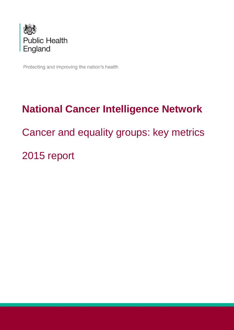

Protecting and improving the nation's health

# **National Cancer Intelligence Network** Cancer and equality groups: key metrics 2015 report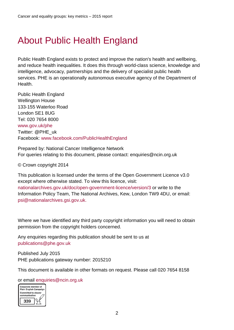# <span id="page-1-0"></span>About Public Health England

Public Health England exists to protect and improve the nation's health and wellbeing, and reduce health inequalities. It does this through world-class science, knowledge and intelligence, advocacy, partnerships and the delivery of specialist public health services. PHE is an operationally autonomous executive agency of the Department of Health.

Public Health England Wellington House 133-155 Waterloo Road London SE1 8UG Tel: 020 7654 8000 www.gov.uk/phe Twitter: @PHE\_uk Facebook: www.facebook.com/PublicHealthEngland

Prepared by: National Cancer Intelligence Network For queries relating to this document, please contact: enquiries@ncin.org.uk

© Crown copyright 2014

This publication is licensed under the terms of the Open Government Licence v3.0 except where otherwise stated. To view this licence, visit: nationalarchives.gov.uk/doc/open-government-licence/version/3 or write to the Information Policy Team, The National Archives, Kew, London TW9 4DU, or email: psi@nationalarchives.gsi.gov.uk.

Where we have identified any third party copyright information you will need to obtain permission from the copyright holders concerned.

Any enquiries regarding this publication should be sent to us at publications@phe.gov.uk

Published July 2015 PHE publications gateway number: 2015210

This document is available in other formats on request. Please call 020 7654 8158

#### or email enquiries@ncin.org.uk

<span id="page-1-1"></span>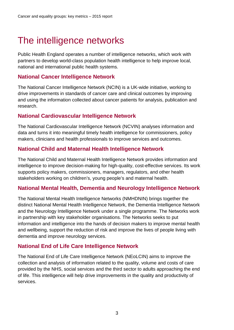# The intelligence networks

Public Health England operates a number of intelligence networks, which work with partners to develop world-class population health intelligence to help improve local, national and international public health systems.

# **[National Cancer Intelligence Network](http://www.ncin.org.uk/home)**

The National Cancer Intelligence Network (NCIN) is a UK-wide initiative, working to drive improvements in standards of cancer care and clinical outcomes by improving and using the information collected about cancer patients for analysis, publication and research.

# **National Cardiovascular Intelligence Network**

The National Cardiovascular Intelligence Network (NCVIN) analyses information and data and turns it into meaningful timely health intelligence for commissioners, policy makers, clinicians and health professionals to improve services and outcomes.

# **National [Child and Maternal Health Intelligence Network](http://www.chimat.org.uk/)**

The National Child and Maternal Health Intelligence Network provides information and intelligence to improve decision-making for high-quality, cost-effective services. Its work supports policy makers, commissioners, managers, regulators, and other health stakeholders working on children's, young people's and maternal health.

# **National Mental Health, Dementia and Neurology Intelligence Network**

The National Mental Health Intelligence Networks (NMHDNIN) brings together the distinct National Mental Health Intelligence Network, the Dementia Intelligence Network and the Neurology Intelligence Network under a single programme. The Networks work in partnership with key stakeholder organisations. The Networks seeks to put information and intelligence into the hands of decision makers to improve mental health and wellbeing, support the reduction of risk and improve the lives of people living with dementia and improve neurology services.

# **National [End of Life Care Intelligence Network](http://www.endoflifecare-intelligence.org.uk/)**

The National End of Life Care Intelligence Network (NEoLCIN) aims to improve the collection and analysis of information related to the quality, volume and costs of care provided by the NHS, social services and the third sector to adults approaching the end of life. This intelligence will help drive improvements in the quality and productivity of services.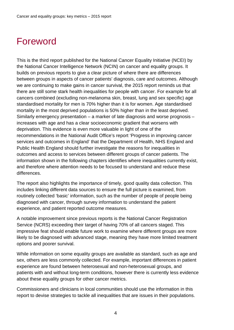# <span id="page-3-0"></span>Foreword

This is the third report published for the National Cancer Equality Initiative (NCEI) by the National Cancer Intelligence Network (NCIN) on cancer and equality groups. It builds on previous reports to give a clear picture of where there are differences between groups in aspects of cancer patients' diagnosis, care and outcomes. Although we are continuing to make gains in cancer survival, the 2015 report reminds us that there are still some stark health inequalities for people with cancer. For example for all cancers combined (excluding non-melanoma skin, breast, lung and sex specific) age standardised mortality for men is 70% higher than it is for women. Age standardised mortality in the most deprived populations is 50% higher than in the least deprived. Similarly emergency presentation – a marker of late diagnosis and worse prognosis – increases with age and has a clear socioeconomic gradient that worsens with deprivation. This evidence is even more valuable in light of one of the recommendations in the National Audit Office's report 'Progress in improving cancer services and outcomes in England' that the Department of Health, NHS England and Public Health England should further investigate the reasons for inequalities in outcomes and access to services between different groups of cancer patients. The information shown in the following chapters identifies where inequalities currently exist, and therefore where attention needs to be focused to understand and reduce these differences.

The report also highlights the importance of timely, good quality data collection. This includes linking different data sources to ensure the full picture is examined, from routinely collected 'basic' information, such as the number of people of people being diagnosed with cancer, through survey information to understand the patient experience, and patient reported outcome measures.

A notable improvement since previous reports is the National Cancer Registration Service (NCRS) exceeding their target of having 70% of all cancers staged. This impressive feat should enable future work to examine where different groups are more likely to be diagnosed with advanced stage, meaning they have more limited treatment options and poorer survival.

While information on some equality groups are available as standard, such as age and sex, others are less commonly collected. For example, important differences in patient experience are found between heterosexual and non-heterosexual groups, and patients with and without long-term conditions, however there is currently less evidence about these equality groups for other cancer metrics.

Commissioners and clinicians in local communities should use the information in this report to devise strategies to tackle all inequalities that are issues in their populations.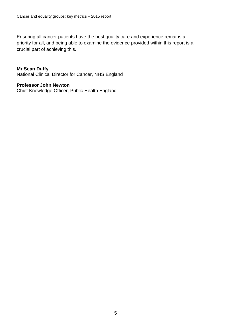Ensuring all cancer patients have the best quality care and experience remains a priority for all, and being able to examine the evidence provided within this report is a crucial part of achieving this.

#### **Mr Sean Duffy**

National Clinical Director for Cancer, NHS England

#### **Professor John Newton**

Chief Knowledge Officer, Public Health England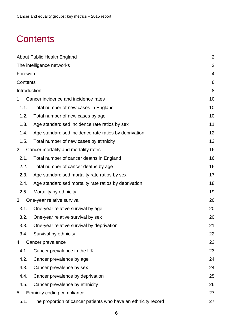# <span id="page-5-0"></span>**Contents**

| About Public Health England | $\overline{2}$                                                 |    |
|-----------------------------|----------------------------------------------------------------|----|
|                             | The intelligence networks                                      | 2  |
| Foreword                    | 4                                                              |    |
| Contents                    | 6                                                              |    |
| Introduction                |                                                                | 8  |
| 1.                          | Cancer incidence and incidence rates                           | 10 |
| 1.1.                        | Total number of new cases in England                           | 10 |
| 1.2.                        | Total number of new cases by age                               | 10 |
| 1.3.                        | Age standardised incidence rate ratios by sex                  | 11 |
| 1.4.                        | Age standardised incidence rate ratios by deprivation          | 12 |
| 1.5.                        | Total number of new cases by ethnicity                         | 13 |
| 2.                          | Cancer mortality and mortality rates                           | 16 |
| 2.1.                        | Total number of cancer deaths in England                       | 16 |
| 2.2.                        | Total number of cancer deaths by age                           | 16 |
| 2.3.                        | Age standardised mortality rate ratios by sex                  | 17 |
| 2.4.                        | Age standardised mortality rate ratios by deprivation          | 18 |
| 2.5.                        | Mortality by ethnicity                                         | 19 |
| 3.                          | One-year relative survival                                     | 20 |
| 3.1.                        | One-year relative survival by age                              | 20 |
| 3.2.                        | One-year relative survival by sex                              | 20 |
| 3.3.                        | One-year relative survival by deprivation                      | 21 |
| 3.4.                        | Survival by ethnicity                                          | 22 |
| 4.                          | Cancer prevalence                                              | 23 |
| 4.1.                        | Cancer prevalence in the UK                                    | 23 |
| 4.2.                        | Cancer prevalence by age                                       | 24 |
| 4.3.                        | Cancer prevalence by sex                                       | 24 |
| 4.4.                        | Cancer prevalence by deprivation                               | 25 |
| 4.5.                        | Cancer prevalence by ethnicity                                 | 26 |
| 5.                          | Ethnicity coding compliance                                    | 27 |
| 5.1.                        | The proportion of cancer patients who have an ethnicity record | 27 |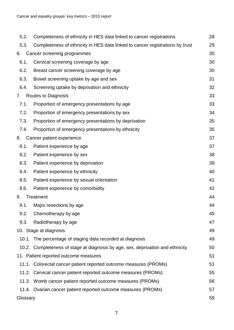| 5.2.     | Completeness of ethnicity in HES data linked to cancer registrations            | 28 |
|----------|---------------------------------------------------------------------------------|----|
| 5.3.     | Completeness of ethnicity in HES data linked to cancer registrations by trust   | 29 |
| 6.       | Cancer screening programmes                                                     | 30 |
| 6.1.     | Cervical screening coverage by age                                              | 30 |
| 6.2.     | Breast cancer screening coverage by age                                         | 30 |
| 6.3.     | Bowel screening uptake by age and sex                                           | 31 |
| 6.4.     | Screening uptake by deprivation and ethnicity                                   | 32 |
| 7.       | <b>Routes to Diagnosis</b>                                                      | 33 |
| 7.1.     | Proportion of emergency presentations by age                                    | 33 |
| 7.2.     | Proportion of emergency presentations by sex                                    | 34 |
| 7.3.     | Proportion of emergency presentations by deprivation                            | 35 |
| 7.4.     | Proportion of emergency presentations by ethnicity                              | 35 |
| 8.       | Cancer patient experience                                                       | 37 |
| 8.1.     | Patient experience by age                                                       | 37 |
| 8.2.     | Patient experience by sex                                                       | 38 |
| 8.3.     | Patient experience by deprivation                                               | 39 |
| 8.4.     | Patient experience by ethnicity                                                 | 40 |
| 8.5.     | Patient experience by sexual orientation                                        | 41 |
| 8.6.     | Patient experience by comorbidity                                               | 42 |
| 9.       | Treatment                                                                       | 44 |
| 9.1.     | Major resections by age                                                         | 44 |
| 9.2.     | Chemotherapy by age                                                             | 45 |
| 9.3.     | Radiotherapy by age                                                             | 47 |
|          | 10. Stage at diagnosis                                                          | 49 |
|          | 10.1. The percentage of staging data recorded at diagnosis                      | 49 |
|          | 10.2. Completeness of stage at diagnosis by age, sex, deprivation and ethnicity | 50 |
|          | 11. Patient reported outcome measures                                           | 51 |
|          | 11.1. Colorectal cancer patient reported outcome measures (PROMs)               | 51 |
|          | 11.2. Cervical cancer patient reported outcome measures (PROMs)                 | 55 |
|          | 11.3. Womb cancer patient reported outcome measures (PROMs)                     | 56 |
|          | 11.4. Ovarian cancer patient reported outcome measures (PROMs)                  | 57 |
| Glossary |                                                                                 | 59 |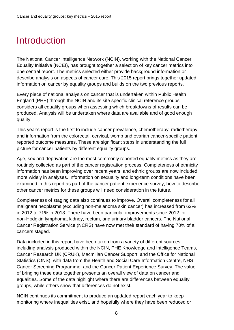# <span id="page-7-0"></span>**Introduction**

The National Cancer Intelligence Network (NCIN), working with the National Cancer Equality Initiative (NCEI), has brought together a selection of key cancer metrics into one central report. The metrics selected either provide background information or describe analysis on aspects of cancer care. This 2015 report brings together updated information on cancer by equality groups and builds on the two previous reports.

Every piece of national analysis on cancer that is undertaken within Public Health England (PHE) through the NCIN and its site specific clinical reference groups considers all equality groups when assessing which breakdowns of results can be produced. Analysis will be undertaken where data are available and of good enough quality.

This year's report is the first to include cancer prevalence, chemotherapy, radiotherapy and information from the colorectal, cervical, womb and ovarian cancer-specific patient reported outcome measures. These are significant steps in understanding the full picture for cancer patients by different equality groups.

Age, sex and deprivation are the most commonly reported equality metrics as they are routinely collected as part of the cancer registration process. Completeness of ethnicity information has been improving over recent years, and ethnic groups are now included more widely in analyses. Information on sexuality and long-term conditions have been examined in this report as part of the cancer patient experience survey; how to describe other cancer metrics for these groups will need consideration in the future.

Completeness of staging data also continues to improve. Overall completeness for all malignant neoplasms (excluding non-melanoma skin cancer) has increased from 62% in 2012 to 71% in 2013. There have been particular improvements since 2012 for non-Hodgkin lymphoma, kidney, rectum, and urinary bladder cancers. The National Cancer Registration Service (NCRS) have now met their standard of having 70% of all cancers staged.

Data included in this report have been taken from a variety of different sources, including analysis produced within the NCIN, PHE Knowledge and Intelligence Teams, Cancer Research UK (CRUK), Macmillan Cancer Support, and the Office for National Statistics (ONS), with data from the Health and Social Care Information Centre, NHS Cancer Screening Programme, and the Cancer Patient Experience Survey. The value of bringing these data together presents an overall view of data on cancer and equalities. Some of the data highlight where there are differences between equality groups, while others show that differences do not exist.

NCIN continues its commitment to produce an updated report each year to keep monitoring where inequalities exist, and hopefully where they have been reduced or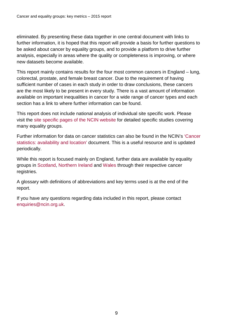eliminated. By presenting these data together in one central document with links to further information, it is hoped that this report will provide a basis for further questions to be asked about cancer by equality groups, and to provide a platform to drive further analysis, especially in areas where the quality or completeness is improving, or where new datasets become available.

This report mainly contains results for the four most common cancers in England – lung, colorectal, prostate, and female breast cancer. Due to the requirement of having sufficient number of cases in each study in order to draw conclusions, these cancers are the most likely to be present in every study. There is a vast amount of information available on important inequalities in cancer for a wide range of cancer types and each section has a link to where further information can be found.

This report does not include national analysis of individual site specific work. Please visit the [site specific pages of the NCIN website](http://www.ncin.org.uk/cancer_type_and_topic_specific_work/default.aspx) for detailed specific studies covering many equality groups.

Further information for data on cancer statistics can also be found in the NCIN's ['Cancer](http://www.ncin.org.uk/view?rid=2866)  [statistics: availability and location'](http://www.ncin.org.uk/view?rid=2866) document. This is a useful resource and is updated periodically.

While this report is focused mainly on England, further data are available by equality groups in [Scotland,](http://www.isdscotland.org/Health-Topics/Cancer/) [Northern Ireland](http://www.qub.ac.uk/research-centres/nicr/) and [Wales](http://www.wcisu.wales.nhs.uk/home) through their respective cancer registries.

A glossary with definitions of abbreviations and key terms used is at the end of the report.

If you have any questions regarding data included in this report, please contact [enquiries@ncin.org.uk.](mailto:enquiries@ncin.org.uk)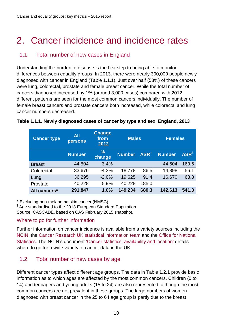# <span id="page-9-0"></span>2. Cancer incidence and incidence rates

# <span id="page-9-1"></span>1.1. Total number of new cases in England

Understanding the burden of disease is the first step to being able to monitor differences between equality groups. In 2013, there were nearly 300,000 people newly diagnosed with cancer in England [\(Table 1.1.1\)](#page-9-3). Just over half (53%) of these cancers were lung, colorectal, prostate and female breast cancer. While the total number of cancers diagnosed increased by 1% (around 3,000 cases) compared with 2012, different patterns are seen for the most common cancers individually. The number of female breast cancers and prostate cancers both increased, while colorectal and lung cancer numbers decreased.

| <b>Cancer type</b> | <b>All</b><br><b>persons</b> | <b>Change</b><br>from<br>2012 | <b>Males</b>  |                  | <b>Females</b> |                          |
|--------------------|------------------------------|-------------------------------|---------------|------------------|----------------|--------------------------|
|                    | <b>Number</b>                | $\frac{9}{6}$<br>change       | <b>Number</b> | ASR <sup>†</sup> | <b>Number</b>  | $\mathsf{ASR}^{\dagger}$ |
| <b>Breast</b>      | 44,504                       | 3.4%                          |               |                  | 44,504         | 169.6                    |
| Colorectal         | 33,676                       | $-4.3%$                       | 18,778        | 86.5             | 14,898         | 56.1                     |
| Lung               | 36,295                       | $-2.0%$                       | 19,625        | 91.4             | 16,670         | 63.8                     |
| Prostate           | 40,228                       | 5.9%                          | 40,228        | 185.0            |                |                          |
| All cancers*       | 291,847                      | 1.0%                          | 149,234       | 680.3            | 142,613        | 541.3                    |

#### <span id="page-9-3"></span>**Table 1.1.1. Newly diagnosed cases of cancer by type and sex, England, 2013**

\* Excluding non-melanoma skin cancer (NMSC) **†** Age standardised to the 2013 European Standard Population

Source: CASCADE, based on CAS February 2015 snapshot.

#### Where to go for further information

Further information on cancer incidence is available from a variety sources including the [NCIN,](http://www.ncin.org.uk/) the [Cancer Research UK statistical information team](http://www.cancerresearchuk.org/cancer-info/cancerstats/) and the [Office for National](http://www.ons.gov.uk/ons/index.html)  [Statistics.](http://www.ons.gov.uk/ons/index.html) The NCIN's document ['Cancer statistics: availability and location'](http://www.ncin.org.uk/view?rid=2866) details where to go for a wide variety of cancer data in the UK.

# <span id="page-9-2"></span>1.2. Total number of new cases by age

Different cancer types affect different age groups. The data in [Table 1.2.1](#page-10-1) provide basic information as to which ages are affected by the most common cancers. Children (0 to 14) and teenagers and young adults (15 to 24) are also represented, although the most common cancers are not prevalent in these groups. The large numbers of women diagnosed with breast cancer in the 25 to 64 age group is partly due to the breast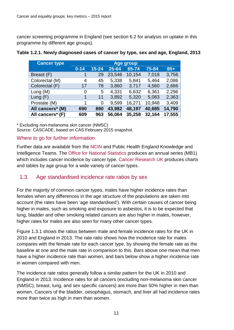cancer screening programme in England (see section [6.2](#page-29-2) for analysis on uptake in this programme by different age groups).

| <b>Cancer type</b> | <b>Age group</b> |           |        |        |        |        |
|--------------------|------------------|-----------|--------|--------|--------|--------|
|                    | $0 - 14$         | $15 - 24$ | 25-64  | 65-74  | 75-84  | $85+$  |
| Breast (F)         |                  | 29        | 23,546 | 10,154 | 7,018  | 3,756  |
| Colorectal (M)     | 4                | 45        | 5,338  | 5,841  | 5,464  | 2,086  |
| Colorectal (F)     | 17               | 78        | 3,860  | 3,717  | 4,560  | 2,666  |
| Lung $(M)$         | 0                | 5         | 4,331  | 6,632  | 6,361  | 2,296  |
| Lung $(F)$         |                  | 11        | 3,892  | 5,320  | 5,083  | 2,363  |
| Prostate (M)       | 1                | 0         | 9,599  | 16,271 | 10,948 | 3,409  |
| All cancers* (M)   | 690              | 890       | 43,982 | 48,197 | 40,685 | 14,790 |
| All cancers* (F)   | 609              | 963       | 56,064 | 35,258 | 32,164 | 17,555 |

#### <span id="page-10-1"></span>**Table 1.2.1. Newly diagnosed cases of cancer by type, sex and age, England, 2013**

\* Excluding non-melanoma skin cancer (NMSC)

Source: CASCADE, based on CAS February 2015 snapshot.

#### Where to go for further information

Further data are available from the [NCIN](http://www.ncin.org.uk/) and Public Health England Knowledge and Intelligence Teams. The [Office for National Statistics](http://www.ons.gov.uk/ons/index.html) produces an annual series (MB1) which includes cancer incidence by cancer type. [Cancer Research UK](http://www.cancerresearchuk.org/cancer-info/cancerstats/) produces charts and tables by age group for a wide variety of cancer types.

# <span id="page-10-0"></span>1.3. Age standardised incidence rate ratios by sex

For the majority of common cancer types, males have higher incidence rates than females when any differences in the age structure of the populations are taken into account (the rates have been 'age standardised'). With certain causes of cancer being higher in males, such as smoking and exposure to asbestos, it is to be expected that lung, bladder and other smoking related cancers are also higher in males, however, higher rates for males are also seen for many other cancer types.

[Figure 1.3.1](#page-11-1) shows the ratios between male and female incidence rates for the UK in 2010 and England in 2013. The rate ratio shows how the incidence rate for males compares with the female rate for each cancer type, by showing the female rate as the baseline at one and the male rate in comparison to this. Bars above one mean that men have a higher incidence rate than women, and bars below show a higher incidence rate in women compared with men.

The incidence rate ratios generally follow a similar pattern for the UK in 2010 and England in 2013. Incidence rates for all cancers (excluding non-melanoma skin cancer (NMSC), breast, lung, and sex specific cancers) are more than 50% higher in men than women. Cancers of the bladder, oesophagus, stomach, and liver all had incidence rates more than twice as high in men than women.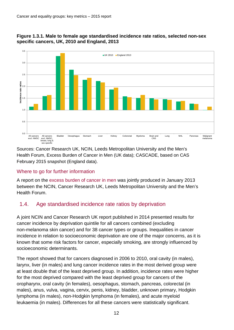<span id="page-11-1"></span>



Sources: Cancer Research UK, NCIN, Leeds Metropolitan University and the Men's Health Forum, Excess Burden of Cancer in Men (UK data); CASCADE, based on CAS February 2015 snapshot (England data).

# Where to go for further information

A report on the [excess burden of cancer in men](http://publications.cancerresearchuk.org/downloads/product/CS_REPORT_EXCESSBURDEN.pdf) was jointly produced in January 2013 between the NCIN, Cancer Research UK, Leeds Metropolitan University and the Men's Health Forum.

# <span id="page-11-0"></span>1.4. Age standardised incidence rate ratios by deprivation

A joint NCIN and Cancer Research UK report published in 2014 presented results for cancer incidence by deprivation quintile for all cancers combined (excluding non-melanoma skin cancer) and for 38 cancer types or groups. Inequalities in cancer incidence in relation to socioeconomic deprivation are one of the major concerns, as it is known that some risk factors for cancer, especially smoking, are strongly influenced by socioeconomic determinants.

The report showed that for cancers diagnosed in 2006 to 2010, oral cavity (in males), larynx, liver (in males) and lung cancer incidence rates in the most derived group were at least double that of the least deprived group. In addition, incidence rates were higher for the most deprived compared with the least deprived group for cancers of the oropharynx, oral cavity (in females), oesophagus, stomach, pancreas, colorectal (in males), anus, vulva, vagina, cervix, penis, kidney, bladder, unknown primary, Hodgkin lymphoma (in males), non-Hodgkin lymphoma (in females), and acute myeloid leukaemia (in males). Differences for all these cancers were statistically significant.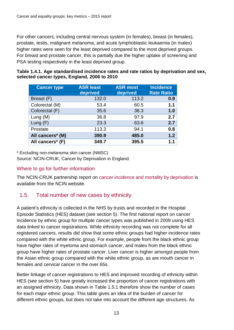For other cancers, including central nervous system (in females), breast (in females), prostate, testis, malignant melanoma, and acute lymphoblastic leukaemia (in males) higher rates were seen for the least deprived compared to the most deprived groups. For breast and prostate cancer, this is partially due the higher uptake of screening and PSA testing respectively in the least deprived group.

| Table 1.4.1. Age standardised incidence rates and rate ratios by deprivation and sex, |  |
|---------------------------------------------------------------------------------------|--|
| selected cancer types, England, 2006 to 2010                                          |  |

| <b>Cancer type</b> | <b>ASR least</b><br>deprived | <b>ASR most</b><br>deprived | <b>Incidence</b><br><b>Rate Ratio</b> |
|--------------------|------------------------------|-----------------------------|---------------------------------------|
| Breast (F)         | 132.0                        | 113.2                       | 0.9                                   |
| Colorectal (M)     | 53.4                         | 60.5                        | 1.1                                   |
| Colorectal (F)     | 35.6                         | 36.3                        | 1.0                                   |
| Lung $(M)$         | 36.8                         | 97.9                        | 2.7                                   |
| Lung $(F)$         | 23.3                         | 63.6                        | 2.7                                   |
| Prostate           | 113.3                        | 94.1                        | 0.8                                   |
| All cancers* (M)   | 390.9                        | 485.0                       | 1.2                                   |
| All cancers* (F)   | 349.7                        | 395.5                       | 1.1                                   |

\* Excluding non-melanoma skin cancer (NMSC)

Source: NCIN-CRUK, Cancer by Deprivation in England.

#### Where to go for further information

The NCIN-CRUK partnership report on [cancer incidence and mortality by deprivation](http://www.ncin.org.uk/about_ncin/cancer_by_deprivation_in_england) is available from the NCIN website.

# <span id="page-12-0"></span>1.5. Total number of new cases by ethnicity

A patient's ethnicity is collected in the NHS by trusts and recorded in the Hospital Episode Statistics (HES) dataset (see section [5\)](#page-26-0). The first national report on cancer incidence by ethnic group for multiple cancer types was published in 2009 using HES data linked to cancer registrations. While ethnicity recording was not complete for all registered cancers, results did show that some ethnic groups had higher incidence rates compared with the white ethnic group. For example, people from the black ethnic group have higher rates of myeloma and stomach cancer, and males from the black ethnic group have higher rates of prostate cancer. Liver cancer is higher amongst people from the Asian ethnic group compared with the white ethnic group, as are mouth cancer in females and cervical cancer in the over 65s.

Better linkage of cancer registrations to HES and improved recording of ethnicity within HES (see section [5\)](#page-26-0) have greatly increased the proportion of cancer registrations with an assigned ethnicity. Data shown in [Table 1.5.1](#page-13-0) therefore show the number of cases for each major ethnic group. This table gives an idea of the burden of cancer for different ethnic groups, but does not take into account the different age structures. As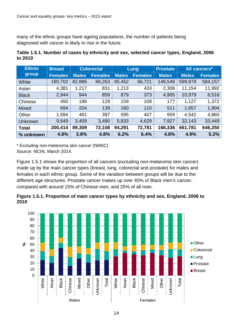many of the ethnic groups have ageing populations, the number of patients being diagnosed with cancer is likely to rise in the future.

<span id="page-13-0"></span>

| Table 1.5.1. Number of cases by ethnicity and sex, selected cancer types, England, 2006 |  |  |  |
|-----------------------------------------------------------------------------------------|--|--|--|
| to 2010                                                                                 |  |  |  |

| <b>Ethnic</b> | <b>Breast</b>  |              | <b>Colorectal</b> | Lung         |                | <b>Prostate</b> |              | All cancers*   |
|---------------|----------------|--------------|-------------------|--------------|----------------|-----------------|--------------|----------------|
| group         | <b>Females</b> | <b>Males</b> | <b>Females</b>    | <b>Males</b> | <b>Females</b> | <b>Males</b>    | <b>Males</b> | <b>Females</b> |
| White         | 180,702        | 82,886       | 66,263            | 85,452       | 66,721         | 149,549         | 599,979      | 584,157        |
| Asian         | 4,381          | 1,217        | 831               | 1,213        | 433            | 2,308           | 11,154       | 11,992         |
| <b>Black</b>  | 2,944          | 944          | 859               | 879          | 373            | 4,905           | 10,979       | 8,516          |
| Chinese       | 450            | 188          | 129               | 159          | 108            | 177             | 1,127        | 1,372          |
| <b>Mixed</b>  | 694            | 204          | 139               | 160          | 110            | 511             | 1,857        | 1,904          |
| Other         | 1,594          | 461          | 397               | 595          | 407            | 959             | 4,542        | 4,860          |
| Unknown       | 9,649          | 3,409        | 3,490             | 5,833        | 4,629          | 7,927           | 32,143       | 33,449         |
| <b>Total</b>  | 200,414        | 89,309       | 72,108            | 94,291       | 72,781         | 166,336         | 661,781      | 646,250        |
| % unknown     | 4.8%           | 3.8%         | 4.8%              | 6.2%         | 6.4%           | 4.8%            | 4.9%         | 5.2%           |

\* Excluding non-melanoma skin cancer (NMSC)

Source: NCIN, March 2014.

[Figure 1.5.1](#page-13-1) shows the proportion of all cancers (excluding non-melanoma skin cancer) made up by the main cancer types (breast, lung, colorectal and prostate) for males and females in each ethnic group. Some of the variation between groups will be due to the different age structures. Prostate cancer makes up over 40% of Black men's cancer, compared with around 15% of Chinese men, and 25% of all men.

<span id="page-13-1"></span>**Figure 1.5.1. Proportion of main cancer types by ethnicity and sex, England, 2006 to 2010**

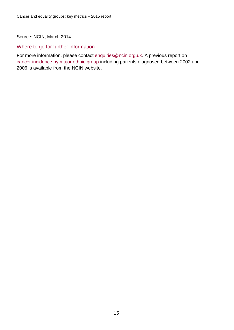Source: NCIN, March 2014.

#### Where to go for further information

For more information, please contact [enquiries@ncin.org.uk.](mailto:enquiries@ncin.org.uk) A previous report on [cancer incidence by major ethnic group](http://www.ncin.org.uk/view.aspx?rid=75) including patients diagnosed between 2002 and 2006 is available from the NCIN website.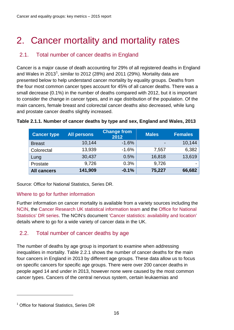# <span id="page-15-0"></span>2. Cancer mortality and mortality rates

# <span id="page-15-1"></span>2.1. Total number of cancer deaths in England

Cancer is a major cause of death accounting for 29% of all registered deaths in England and Wales in 20[1](#page-15-3)3<sup>1</sup>, similar to 2012 (28%) and 2011 (29%). Mortality data are presented below to help understand cancer mortality by equality groups. Deaths from the four most common cancer types account for 45% of all cancer deaths. There was a small decrease (0.1%) in the number of deaths compared with 2012, but it is important to consider the change in cancer types, and in age distribution of the population. Of the main cancers, female breast and colorectal cancer deaths also decreased, while lung and prostate cancer deaths slightly increased.

| <b>Cancer type</b> | <b>All persons</b> | <b>Change from</b><br>2012 | <b>Males</b> | <b>Females</b> |
|--------------------|--------------------|----------------------------|--------------|----------------|
| <b>Breast</b>      | 10,144             | $-1.6%$                    |              | 10,144         |
| Colorectal         | 13,939             | $-1.6%$                    | 7,557        | 6,382          |
| Lung               | 30,437             | 0.5%                       | 16,818       | 13,619         |
| Prostate           | 9,726              | 0.3%                       | 9,726        |                |
| <b>All cancers</b> | 141,909            | $-0.1%$                    | 75,227       | 66,682         |

#### **Table 2.1.1. Number of cancer deaths by type and sex, England and Wales, 2013**

Source: Office for National Statistics, Series DR.

#### Where to go for further information

Further information on cancer mortality is available from a variety sources including the [NCIN,](http://www.ncin.org.uk/) the [Cancer Research UK statistical information team](http://www.cancerresearchuk.org/cancer-info/cancerstats/) and the [Office for National](http://www.ons.gov.uk/ons/index.html)  [Statistics'](http://www.ons.gov.uk/ons/index.html) [DR series.](http://www.ons.gov.uk/ons/rel/vsob1/mortality-statistics--deaths-registered-in-england-and-wales--series-dr-/index.html) The NCIN's document ['Cancer statistics: availability and location'](http://www.ncin.org.uk/view?rid=2866) details where to go for a wide variety of cancer data in the UK.

# <span id="page-15-2"></span>2.2. Total number of cancer deaths by age

The number of deaths by age group is important to examine when addressing inequalities in mortality. [Table 2.2.1](#page-16-1) shows the number of cancer deaths for the main four cancers in England in 2013 by different age groups. These data allow us to focus on specific cancers for specific age groups. There were over 200 cancer deaths in people aged 14 and under in 2013, however none were caused by the most common cancer types. Cancers of the central nervous system, certain leukaemias and

 $\overline{a}$ 

<span id="page-15-3"></span><sup>&</sup>lt;sup>1</sup> Office for National Statistics, Series DR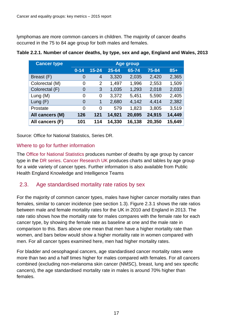lymphomas are more common cancers in children. The majority of cancer deaths occurred in the 75 to 84 age group for both males and females.

| <b>Cancer type</b> | <b>Age group</b> |                |        |        |        |        |
|--------------------|------------------|----------------|--------|--------|--------|--------|
|                    | $0 - 14$         | $15 - 24$      | 25-64  | 65-74  | 75-84  | $85+$  |
| Breast (F)         | $\overline{0}$   | $\overline{4}$ | 3,320  | 2,035  | 2,420  | 2,365  |
| Colorectal (M)     | 0                | $\overline{2}$ | 1,497  | 1,996  | 2,553  | 1,509  |
| Colorectal (F)     | $\overline{0}$   | 3              | 1,035  | 1,293  | 2,018  | 2,033  |
| Lung $(M)$         | 0                | $\overline{0}$ | 3,372  | 5,451  | 5,590  | 2,405  |
| Lung $(F)$         | $\overline{0}$   | 1              | 2,680  | 4,142  | 4,414  | 2,382  |
| Prostate           | $\overline{0}$   | 0              | 579    | 1,823  | 3,805  | 3,519  |
| All cancers (M)    | 126              | 121            | 14,921 | 20,695 | 24,915 | 14,449 |
| All cancers (F)    | 101              | 114            | 14,330 | 16,138 | 20,350 | 15,649 |

#### <span id="page-16-1"></span>**Table 2.2.1. Number of cancer deaths, by type, sex and age, England and Wales, 2013**

Source: Office for National Statistics, Series DR.

#### Where to go for further information

The [Office for National Statistics](http://www.ons.gov.uk/) produces number of deaths by age group by cancer type in the [DR series.](http://www.ons.gov.uk/ons/rel/vsob1/mortality-statistics--deaths-registered-in-england-and-wales--series-dr-/index.html) [Cancer Research UK](http://www.cancerresearchuk.org/cancer-info/cancerstats/) produces charts and tables by age group for a wide variety of cancer types. Further information is also available from Public Health England Knowledge and Intelligence Teams

# <span id="page-16-0"></span>2.3. Age standardised mortality rate ratios by sex

For the majority of common cancer types, males have higher cancer mortality rates than females, similar to cancer incidence (see section [1.3\)](#page-10-0). [Figure 2.3.1](#page-17-1) shows the rate ratios between male and female mortality rates for the UK in 2010 and England in 2013. The rate ratio shows how the mortality rate for males compares with the female rate for each cancer type, by showing the female rate as baseline at one and the male rate in comparison to this. Bars above one mean that men have a higher mortality rate than women, and bars below would show a higher mortality rate in women compared with men. For all cancer types examined here, men had higher mortality rates.

For bladder and oesophageal cancers, age standardised cancer mortality rates were more than two and a half times higher for males compared with females. For all cancers combined (excluding non-melanoma skin cancer (NMSC), breast, lung and sex specific cancers), the age standardised mortality rate in males is around 70% higher than females.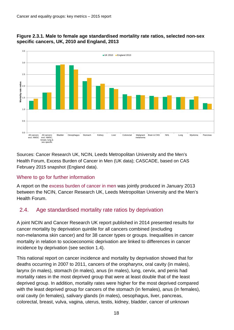

#### <span id="page-17-1"></span>**Figure 2.3.1. Male to female age standardised mortality rate ratios, selected non-sex specific cancers, UK, 2010 and England, 2013**

Sources: Cancer Research UK, NCIN, Leeds Metropolitan University and the Men's Health Forum, Excess Burden of Cancer in Men (UK data); CASCADE, based on CAS February 2015 snapshot (England data).

# Where to go for further information

A report on the [excess burden of cancer in men](http://publications.cancerresearchuk.org/downloads/product/CS_REPORT_EXCESSBURDEN.pdf) was jointly produced in January 2013 between the NCIN, Cancer Research UK, Leeds Metropolitan University and the Men's Health Forum.

# <span id="page-17-0"></span>2.4. Age standardised mortality rate ratios by deprivation

A joint NCIN and Cancer Research UK report published in 2014 presented results for cancer mortality by deprivation quintile for all cancers combined (excluding non-melanoma skin cancer) and for 38 cancer types or groups. Inequalities in cancer mortality in relation to socioeconomic deprivation are linked to differences in cancer incidence by deprivation (see section [1.4\)](#page-11-0).

This national report on cancer incidence and mortality by deprivation showed that for deaths occurring in 2007 to 2011, cancers of the oropharynx, oral cavity (in males), larynx (in males), stomach (in males), anus (in males), lung, cervix, and penis had mortality rates in the most deprived group that were at least double that of the least deprived group. In addition, mortality rates were higher for the most deprived compared with the least deprived group for cancers of the stomach (in females), anus (in females), oral cavity (in females), salivary glands (in males), oesophagus, liver, pancreas, colorectal, breast, vulva, vagina, uterus, testis, kidney, bladder, cancer of unknown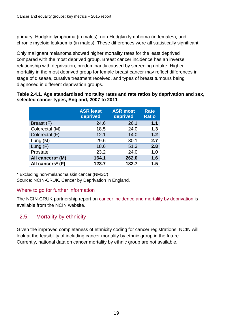primary, Hodgkin lymphoma (in males), non-Hodgkin lymphoma (in females), and chronic myeloid leukaemia (in males). These differences were all statistically significant.

Only malignant melanoma showed higher mortality rates for the least deprived compared with the most deprived group. Breast cancer incidence has an inverse relationship with deprivation, predominantly caused by screening uptake. Higher mortality in the most deprived group for female breast cancer may reflect differences in stage of disease, curative treatment received, and types of breast tumours being diagnosed in different deprivation groups.

#### **Table 2.4.1. Age standardised mortality rates and rate ratios by deprivation and sex, selected cancer types, England, 2007 to 2011**

|                  | <b>ASR</b> least<br>deprived | <b>ASR most</b><br>deprived | <b>Rate</b><br><b>Ratio</b> |
|------------------|------------------------------|-----------------------------|-----------------------------|
| Breast (F)       | 24.6                         | 26.1                        | 1.1                         |
| Colorectal (M)   | 18.5                         | 24.0                        | 1.3                         |
| Colorectal (F)   | 12.1                         | 14.0                        | 1.2                         |
| Lung $(M)$       | 29.6                         | 80.1                        | 2.7                         |
| Lung $(F)$       | 18.6                         | 51.3                        | 2.8                         |
| Prostate         | 23.2                         | 24.0                        | 1.0                         |
| All cancers* (M) | 164.1                        | 262.0                       | 1.6                         |
| All cancers* (F) | 123.7                        | 182.7                       | 1.5                         |

\* Excluding non-melanoma skin cancer (NMSC)

Source: NCIN-CRUK, Cancer by Deprivation in England.

# Where to go for further information

The NCIN-CRUK partnership report on [cancer incidence and mortality by deprivation](http://www.ncin.org.uk/about_ncin/cancer_by_deprivation_in_england) is available from the NCIN website.

# <span id="page-18-0"></span>2.5. Mortality by ethnicity

Given the improved completeness of ethnicity coding for cancer registrations, NCIN will look at the feasibility of including cancer mortality by ethnic group in the future. Currently, national data on cancer mortality by ethnic group are not available.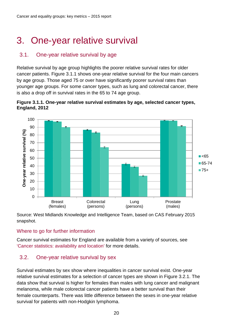# <span id="page-19-0"></span>3. One-year relative survival

# <span id="page-19-1"></span>3.1. One-year relative survival by age

Relative survival by age group highlights the poorer relative survival rates for older cancer patients. [Figure 3.1.1](#page-19-3) shows one-year relative survival for the four main cancers by age group. Those aged 75 or over have significantly poorer survival rates than younger age groups. For some cancer types, such as lung and colorectal cancer, there is also a drop off in survival rates in the 65 to 74 age group.

<span id="page-19-3"></span>



Source: West Midlands Knowledge and Intelligence Team, based on CAS February 2015 snapshot.

#### Where to go for further information

Cancer survival estimates for England are available from a variety of sources, see ['Cancer statistics: availability and location'](http://www.ncin.org.uk/view?rid=2866) for more details.

# <span id="page-19-2"></span>3.2. One-year relative survival by sex

Survival estimates by sex show where inequalities in cancer survival exist. One-year relative survival estimates for a selection of cancer types are shown in [Figure 3.2.1.](#page-20-1) The data show that survival is higher for females than males with lung cancer and malignant melanoma, while male colorectal cancer patients have a better survival than their female counterparts. There was little difference between the sexes in one-year relative survival for patients with non-Hodgkin lymphoma.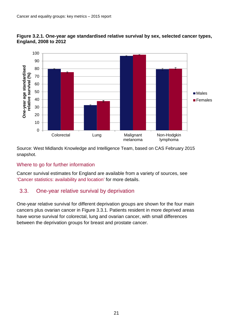

#### <span id="page-20-1"></span>**Figure 3.2.1. One-year age standardised relative survival by sex, selected cancer types, England, 2008 to 2012**

Source: West Midlands Knowledge and Intelligence Team, based on CAS February 2015 snapshot.

#### Where to go for further information

Cancer survival estimates for England are available from a variety of sources, see ['Cancer statistics: availability and location'](http://www.ncin.org.uk/view?rid=2866) for more details.

# <span id="page-20-0"></span>3.3. One-year relative survival by deprivation

One-year relative survival for different deprivation groups are shown for the four main cancers plus ovarian cancer in [Figure 3.3.1.](#page-21-1) Patients resident in more deprived areas have worse survival for colorectal, lung and ovarian cancer, with small differences between the deprivation groups for breast and prostate cancer.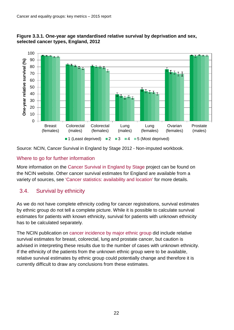<span id="page-21-1"></span>



Source: NCIN, Cancer Survival in England by Stage 2012 - Non-imputed workbook.

#### Where to go for further information

More information on the [Cancer Survival in England by Stage](http://www.ncin.org.uk/publications/survival_by_stage) project can be found on the NCIN website. Other cancer survival estimates for England are available from a variety of sources, see ['Cancer statistics: availability and location'](http://www.ncin.org.uk/view?rid=2866) for more details.

# <span id="page-21-0"></span>3.4. Survival by ethnicity

As we do not have complete ethnicity coding for cancer registrations, survival estimates by ethnic group do not tell a complete picture. While it is possible to calculate survival estimates for patients with known ethnicity, survival for patients with unknown ethnicity has to be calculated separately.

The NCIN publication on [cancer incidence by major ethnic group](http://www.ncin.org.uk/view.aspx?rid=75) did include relative survival estimates for breast, colorectal, lung and prostate cancer, but caution is advised in interpreting these results due to the number of cases with unknown ethnicity. If the ethnicity of the patients from the unknown ethnic group were to be available, relative survival estimates by ethnic group could potentially change and therefore it is currently difficult to draw any conclusions from these estimates.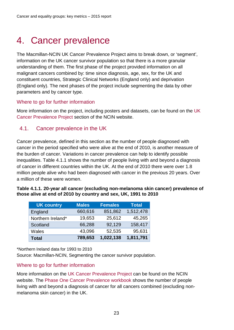# <span id="page-22-0"></span>4. Cancer prevalence

The Macmillan-NCIN UK Cancer Prevalence Project aims to break down, or 'segment', information on the UK cancer survivor population so that there is a more granular understanding of them. The first phase of the project provided information on all malignant cancers combined by: time since diagnosis, age, sex, for the UK and constituent countries, Strategic Clinical Networks (England only) and deprivation (England only). The next phases of the project include segmenting the data by other parameters and by cancer type.

#### Where to go for further information

More information on the project, including posters and datasets, can be found on the [UK](http://www.ncin.org.uk/about_ncin/segmentation)  [Cancer Prevalence Project](http://www.ncin.org.uk/about_ncin/segmentation) section of the NCIN website.

# <span id="page-22-1"></span>4.1. Cancer prevalence in the UK

Cancer prevalence, defined in this section as the number of people diagnosed with cancer in the period specified who were alive at the end of 2010, is another measure of the burden of cancer. Variations in cancer prevalence can help to identify possible inequalities. [Table 4.1.1](#page-22-2) shows the number of people living with and beyond a diagnosis of cancer in different countries within the UK. At the end of 2010 there were over 1.8 million people alive who had been diagnosed with cancer in the previous 20 years. Over a million of these were women.

<span id="page-22-2"></span>

| Table 4.1.1. 20-year all cancer (excluding non-melanoma skin cancer) prevalence of |
|------------------------------------------------------------------------------------|
| those alive at end of 2010 by country and sex, UK, 1991 to 2010                    |

| <b>UK country</b> | <b>Males</b> | <b>Females</b> | <b>Total</b> |
|-------------------|--------------|----------------|--------------|
| England           | 660,616      | 851,862        | 1,512,478    |
| Northern Ireland* | 19,653       | 25,612         | 45,265       |
| Scotland          | 66,288       | 92,129         | 158,417      |
| Wales             | 43,096       | 52,535         | 95,631       |
| <b>Total</b>      | 789,653      | 1,022,138      | 1,811,791    |

\*Northern Ireland data for 1993 to 2010

Source: Macmillan-NCIN, Segmenting the cancer survivor population.

#### Where to go for further information

More information on the [UK Cancer Prevalence Project](http://www.ncin.org.uk/about_ncin/segmentation) can be found on the NCIN website. The [Phase One Cancer Prevalence workbook](http://www.ncin.org.uk/view?rid=2796) shows the number of people living with and beyond a diagnosis of cancer for all cancers combined (excluding nonmelanoma skin cancer) in the UK.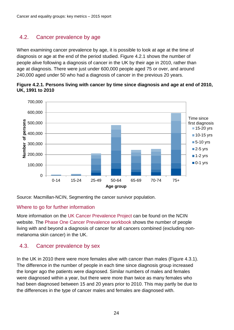# <span id="page-23-0"></span>4.2. Cancer prevalence by age

When examining cancer prevalence by age, it is possible to look at age at the time of diagnosis or age at the end of the period studied. [Figure 4.2.1](#page-23-2) shows the number of people alive following a diagnosis of cancer in the UK by their age in 2010, rather than age at diagnosis. There were just under 600,000 people aged 75 or over, and around 240,000 aged under 50 who had a diagnosis of cancer in the previous 20 years.



<span id="page-23-2"></span>**Figure 4.2.1. Persons living with cancer by time since diagnosis and age at end of 2010, UK, 1991 to 2010**

Source: Macmillan-NCIN, Segmenting the cancer survivor population.

#### Where to go for further information

More information on the [UK Cancer Prevalence Project](http://www.ncin.org.uk/about_ncin/segmentation) can be found on the NCIN website. The [Phase One Cancer Prevalence workbook](http://www.ncin.org.uk/view?rid=2796) shows the number of people living with and beyond a diagnosis of cancer for all cancers combined (excluding nonmelanoma skin cancer) in the UK.

# <span id="page-23-1"></span>4.3. Cancer prevalence by sex

In the UK in 2010 there were more females alive with cancer than males [\(Figure 4.3.1\)](#page-24-1). The difference in the number of people in each time since diagnosis group increased the longer ago the patients were diagnosed. Similar numbers of males and females were diagnosed within a year, but there were more than twice as many females who had been diagnosed between 15 and 20 years prior to 2010. This may partly be due to the differences in the type of cancer males and females are diagnosed with.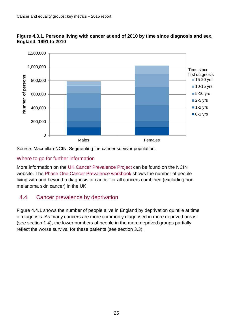

<span id="page-24-1"></span>

Source: Macmillan-NCIN, Segmenting the cancer survivor population.

#### Where to go for further information

More information on the [UK Cancer Prevalence Project](http://www.ncin.org.uk/about_ncin/segmentation) can be found on the NCIN website. The [Phase One Cancer Prevalence workbook](http://www.ncin.org.uk/view?rid=2796) shows the number of people living with and beyond a diagnosis of cancer for all cancers combined (excluding nonmelanoma skin cancer) in the UK.

# <span id="page-24-0"></span>4.4. Cancer prevalence by deprivation

[Figure 4.4.1](#page-25-1) shows the number of people alive in England by deprivation quintile at time of diagnosis. As many cancers are more commonly diagnosed in more deprived areas (see section [1.4\)](#page-11-0), the lower numbers of people in the more deprived groups partially reflect the worse survival for these patients (see section [3.3\)](#page-20-0).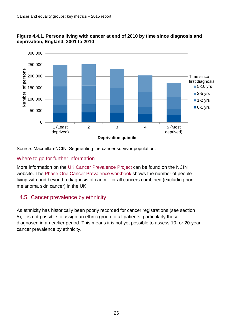

<span id="page-25-1"></span>**Figure 4.4.1. Persons living with cancer at end of 2010 by time since diagnosis and deprivation, England, 2001 to 2010**

Source: Macmillan-NCIN, Segmenting the cancer survivor population.

#### Where to go for further information

More information on the [UK Cancer Prevalence Project](http://www.ncin.org.uk/about_ncin/segmentation) can be found on the NCIN website. The [Phase One Cancer Prevalence workbook](http://www.ncin.org.uk/view?rid=2796) shows the number of people living with and beyond a diagnosis of cancer for all cancers combined (excluding nonmelanoma skin cancer) in the UK.

# <span id="page-25-0"></span>4.5. Cancer prevalence by ethnicity

As ethnicity has historically been poorly recorded for cancer registrations (see section [5\)](#page-26-0), it is not possible to assign an ethnic group to all patients, particularly those diagnosed in an earlier period. This means it is not yet possible to assess 10- or 20-year cancer prevalence by ethnicity.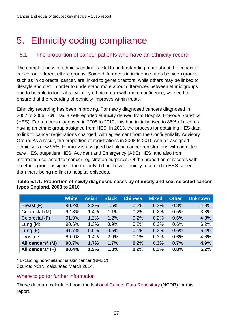# <span id="page-26-0"></span>5. Ethnicity coding compliance

# <span id="page-26-1"></span>5.1. The proportion of cancer patients who have an ethnicity record

The completeness of ethnicity coding is vital to understanding more about the impact of cancer on different ethnic groups. Some differences in incidence rates between groups, such as in colorectal cancer, are linked to genetic factors, while others may be linked to lifestyle and diet. In order to understand more about differences between ethnic groups and to be able to look at survival by ethnic group with more confidence, we need to ensure that the recording of ethnicity improves within trusts.

Ethnicity recording has been improving. For newly diagnosed cancers diagnosed in 2002 to 2006, 76% had a self-reported ethnicity derived from Hospital Episode Statistics (HES). For tumours diagnosed in 2008 to 2010, this had initially risen to 86% of records having an ethnic group assigned from HES. In 2013, the process for obtaining HES data to link to cancer registrations changed, with agreement from the Confidentiality Advisory Group. As a result, the proportion of registrations in 2008 to 2010 with an assigned ethnicity is now 95%. Ethnicity is assigned by linking cancer registrations with admitted care HES, outpatient HES, Accident and Emergency (A&E) HES, and also from information collected for cancer registration purposes. Of the proportion of records with no ethnic group assigned, the majority did not have ethnicity recorded in HES rather than there being no link to hospital episodes.

|                  | <b>White</b> | <b>Asian</b> | <b>Black</b> | <b>Chinese</b> | <b>Mixed</b> | <b>Other</b> | <b>Unknown</b> |
|------------------|--------------|--------------|--------------|----------------|--------------|--------------|----------------|
| Breast (F)       | 90.2%        | 2.2%         | 1.5%         | 0.2%           | 0.3%         | 0.8%         | 4.8%           |
| Colorectal (M)   | 92.8%        | 1.4%         | 1.1%         | 0.2%           | 0.2%         | 0.5%         | 3.8%           |
| Colorectal (F)   | 91.9%        | 1.2%         | 1.2%         | 0.2%           | 0.2%         | 0.6%         | 4.8%           |
| Lung $(M)$       | 90.6%        | 1.3%         | 0.9%         | 0.2%           | 0.2%         | 0.6%         | 6.2%           |
| Lung $(F)$       | 91.7%        | 0.6%         | 0.5%         | 0.1%           | 0.2%         | 0.6%         | 6.4%           |
| Prostate         | 89.9%        | 1.4%         | 2.9%         | 0.1%           | 0.3%         | 0.6%         | 4.8%           |
| All cancers* (M) | 90.7%        | 1.7%         | 1.7%         | 0.2%           | 0.3%         | 0.7%         | 4.9%           |
| All cancers* (F) | 90.4%        | 1.9%         | 1.3%         | 0.2%           | 0.3%         | 0.8%         | 5.2%           |

| Table 5.1.1. Proportion of newly diagnosed cases by ethnicity and sex, selected cancer |  |
|----------------------------------------------------------------------------------------|--|
| types England, 2008 to 2010                                                            |  |

\* Excluding non-melanoma skin cancer (NMSC) Source: NCIN, calculated March 2014.

#### Where to go for further information

These data are calculated from the [National Cancer Data Repository](http://www.ncin.org.uk/collecting_and_using_data/national_cancer_data_repository/default.aspx) (NCDR) for this report.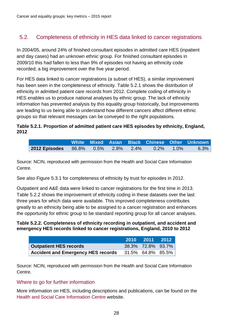# <span id="page-27-0"></span>5.2. Completeness of ethnicity in HES data linked to cancer registrations

In 2004/05, around 24% of finished consultant episodes in admitted care HES (inpatient and day cases) had an unknown ethnic group. For finished consultant episodes in 2009/10 this had fallen to less than 9% of episodes not having an ethnicity code recorded; a big improvement over the five year period.

For HES data linked to cancer registrations (a subset of HES), a similar improvement has been seen in the completeness of ethnicity. [Table 5.2.1](#page-27-1) shows the distribution of ethnicity in admitted patient care records from 2012. Complete coding of ethnicity in HES enables us to produce national analyses by ethnic group. The lack of ethnicity information has prevented analysis by this equality group historically, but improvements are leading to us being able to understand how different cancers affect different ethnic groups so that relevant messages can be conveyed to the right populations.

#### <span id="page-27-1"></span>**Table 5.2.1. Proportion of admitted patient care HES episodes by ethnicity, England, 2012**

|                                                     |  |  |  | White Mixed Asian Black Chinese Other Unknown |
|-----------------------------------------------------|--|--|--|-----------------------------------------------|
| <b>2012 Episodes</b> 86.8% 0.5% 2.8% 2.4% 0.2% 1.0% |  |  |  | $6.3\%$                                       |

Source: NCIN, reproduced with permission from the Health and Social Care Information Centre.

See also [Figure 5.3.1](#page-28-1) for completeness of ethnicity by trust for episodes in 2012.

Outpatient and A&E data were linked to cancer registrations for the first time in 2013. [Table 5.2.2](#page-27-2) shows the improvement of ethnicity coding in these datasets over the last three years for which data were available. This improved completeness contributes greatly to an ethnicity being able to be assigned to a cancer registration and enhances the opportunity for ethnic group to be standard reporting group for all cancer analyses.

#### <span id="page-27-2"></span>**Table 5.2.2. Completeness of ethnicity recording in outpatient, and accident and emergency HES records linked to cancer registrations, England, 2010 to 2012**

|                                           |                   | 2010 2011 2012    |  |
|-------------------------------------------|-------------------|-------------------|--|
| <b>Outpatient HES records</b>             |                   | 38.3% 72.8% 93.7% |  |
| <b>Accident and Emergency HES records</b> | 31.5% 64.8% 85.5% |                   |  |

Source: NCIN, reproduced with permission from the Health and Social Care Information Centre.

#### Where to go for further information

More information on HES, including descriptions and publications, can be found on the [Health and Social Care Information Centre](http://www.hesonline.nhs.uk/Ease/servlet/ContentServer?siteID=1937&categoryID=171) website.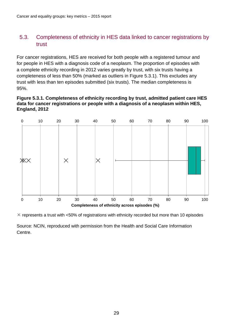# <span id="page-28-0"></span>5.3. Completeness of ethnicity in HES data linked to cancer registrations by trust

For cancer registrations, HES are received for both people with a registered tumour and for people in HES with a diagnosis code of a neoplasm. The proportion of episodes with a complete ethnicity recording in 2012 varies greatly by trust, with six trusts having a completeness of less than 50% (marked as outliers in [Figure 5.3.1\)](#page-28-1). This excludes any trust with less than ten episodes submitted (six trusts). The median completeness is 95%.

#### <span id="page-28-1"></span>**Figure 5.3.1. Completeness of ethnicity recording by trust, admitted patient care HES data for cancer registrations or people with a diagnosis of a neoplasm within HES, England, 2012**



 $\times$  represents a trust with <50% of registrations with ethnicity recorded but more than 10 episodes

Source: NCIN, reproduced with permission from the Health and Social Care Information Centre.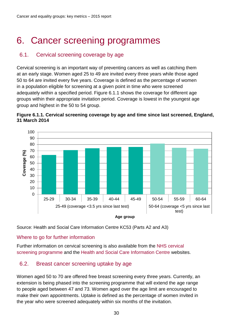# <span id="page-29-0"></span>6. Cancer screening programmes

# <span id="page-29-1"></span>6.1. Cervical screening coverage by age

Cervical screening is an important way of preventing cancers as well as catching them at an early stage. Women aged 25 to 49 are invited every three years while those aged 50 to 64 are invited every five years. Coverage is defined as the percentage of women in a population eligible for screening at a given point in time who were screened adequately within a specified period. [Figure 6.1.1](#page-29-3) shows the coverage for different age groups within their appropriate invitation period. Coverage is lowest in the youngest age group and highest in the 50 to 54 group.

<span id="page-29-3"></span>



Source: Health and Social Care Information Centre KC53 (Parts A2 and A3)

#### Where to go for further information

Further information on cervical screening is also available from the [NHS cervical](http://www.cancerscreening.nhs.uk/cervical/index.html)  [screening programme](http://www.cancerscreening.nhs.uk/cervical/index.html) and the Health [and Social Care Information Centre](http://www.hscic.gov.uk/catalogue/PUB15968) websites.

# <span id="page-29-2"></span>6.2. Breast cancer screening uptake by age

Women aged 50 to 70 are offered free breast screening every three years. Currently, an extension is being phased into the screening programme that will extend the age range to people aged between 47 and 73. Women aged over the age limit are encouraged to make their own appointments. Uptake is defined as the percentage of women invited in the year who were screened adequately within six months of the invitation.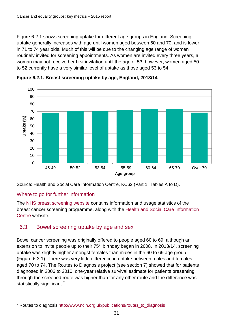[Figure 6.2.1](#page-30-1) shows screening uptake for different age groups in England. Screening uptake generally increases with age until women aged between 60 and 70, and is lower in 71 to 74 year olds. Much of this will be due to the changing age range of women routinely invited for screening appointments. As women are invited every three years, a woman may not receive her first invitation until the age of 53, however, women aged 50 to 52 currently have a very similar level of uptake as those aged 53 to 54.



<span id="page-30-1"></span>**Figure 6.2.1. Breast screening uptake by age, England, 2013/14**

Source: Health and Social Care Information Centre, KC62 (Part 1, Tables A to D).

# Where to go for further information

 $\overline{a}$ 

The [NHS breast screening website](http://www.cancerscreening.nhs.uk/breastscreen/index.html) contains information and usage statistics of the breast cancer screening programme, along with the [Health and Social Care Information](http://www.hscic.gov.uk/pubs/brstscreen1314)  [Centre](http://www.hscic.gov.uk/pubs/brstscreen1314) website.

# <span id="page-30-0"></span>6.3. Bowel screening uptake by age and sex

Bowel cancer screening was originally offered to people aged 60 to 69, although an extension to invite people up to their  $75<sup>th</sup>$  birthday began in 2008. In 2013/14, screening uptake was slightly higher amongst females than males in the 60 to 69 age group [\(Figure 6.3.1\)](#page-31-1). There was very little difference in uptake between males and females aged 70 to 74. The Routes to Diagnosis project (see section [7\)](#page-32-0) showed that for patients diagnosed in 2006 to 2010, one-year relative survival estimate for patients presenting through the screened route was higher than for any other route and the difference was statistically significant.<sup>[2](#page-30-2)</sup>

<span id="page-30-2"></span><sup>2</sup> Routes to diagnosis [http://www.ncin.org.uk/publications/routes\\_to\\_diagnosis](http://www.ncin.org.uk/publications/routes_to_diagnosis)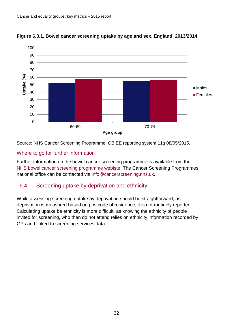

#### <span id="page-31-1"></span>**Figure 6.3.1. Bowel cancer screening uptake by age and sex, England, 2013/2014**

Source: NHS Cancer Screening Programme, OBIEE reporting system 11g 08/05/2015.

#### Where to go for further information

Further information on the bowel cancer screening programme is available from the [NHS bowel cancer screening programme webiste.](http://www.cancerscreening.nhs.uk/bowel/index.html) The Cancer Screening Programmes' national office can be contacted via [info@cancerscreening.nhs.uk.](mailto:info@cancerscreening.nhs.uk)

# <span id="page-31-0"></span>6.4. Screening uptake by deprivation and ethnicity

While assessing screening uptake by deprivation should be straightforward, as deprivation is measured based on postcode of residence, it is not routinely reported. Calculating uptake be ethnicity is more difficult, as knowing the ethnicity of people invited for screening, who then do not attend relies on ethnicity information recorded by GPs and linked to screening services data.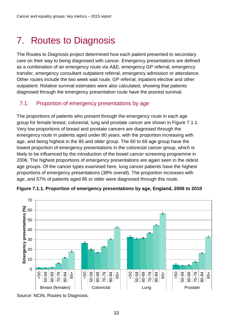# <span id="page-32-0"></span>7. Routes to Diagnosis

The Routes to Diagnosis project determined how each patient presented to secondary care on their way to being diagnosed with cancer. Emergency presentations are defined as a combination of an emergency route via A&E, emergency GP referral, emergency transfer, emergency consultant outpatient referral, emergency admission or attendance. Other routes include the two week wait route, GP referral, inpatient elective and other outpatient. Relative survival estimates were also calculated, showing that patients diagnosed through the emergency presentation route have the poorest survival.

# <span id="page-32-1"></span>7.1. Proportion of emergency presentations by age

The proportions of patients who present through the emergency route in each age group for female breast, colorectal, lung and prostate cancer are shown in [Figure 7.1.1.](#page-32-2) Very low proportions of breast and prostate cancers are diagnosed through the emergency route in patients aged under 80 years, with the proportion increasing with age, and being highest in the 85 and older group. The 60 to 69 age group have the lowest proportion of emergency presentations in the colorectal cancer group, which is likely to be influenced by the introduction of the bowel cancer screening programme in 2006. The highest proportions of emergency presentations are again seen in the oldest age groups. Of the cancer types examined here, lung cancer patients have the highest proportions of emergency presentations (38% overall). The proportion increases with age, and 57% of patients aged 85 or older were diagnosed through this route.



<span id="page-32-2"></span>**Figure 7.1.1. Proportion of emergency presentations by age, England, 2006 to 2010**

Source: NCIN, Routes to Diagnosis.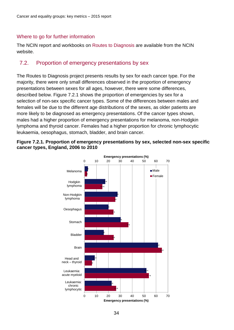#### Where to go for further information

The NCIN report and workbooks on [Routes to Diagnosis](http://www.ncin.org.uk/publications/routes_to_diagnosis.aspx) are available from the NCIN website.

# <span id="page-33-0"></span>7.2. Proportion of emergency presentations by sex

The Routes to Diagnosis project presents results by sex for each cancer type. For the majority, there were only small differences observed in the proportion of emergency presentations between sexes for all ages, however, there were some differences, described below. [Figure 7.2.1](#page-33-1) shows the proportion of emergencies by sex for a selection of non-sex specific cancer types. Some of the differences between males and females will be due to the different age distributions of the sexes, as older patients are more likely to be diagnosed as emergency presentations. Of the cancer types shown, males had a higher proportion of emergency presentations for melanoma, non-Hodgkin lymphoma and thyroid cancer. Females had a higher proportion for chronic lymphocytic leukaemia, oesophagus, stomach, bladder, and brain cancer.



#### <span id="page-33-1"></span>**Figure 7.2.1. Proportion of emergency presentations by sex, selected non-sex specific cancer types, England, 2006 to 2010**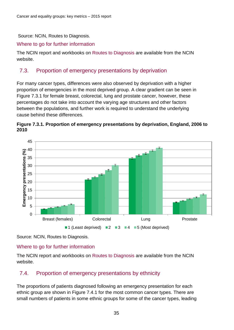Source: NCIN, Routes to Diagnosis.

#### Where to go for further information

The NCIN report and workbooks on [Routes to Diagnosis](http://www.ncin.org.uk/publications/routes_to_diagnosis.aspx) are available from the NCIN website.

# <span id="page-34-0"></span>7.3. Proportion of emergency presentations by deprivation

For many cancer types, differences were also observed by deprivation with a higher proportion of emergencies in the most deprived group. A clear gradient can be seen in [Figure 7.3.1](#page-34-2) for female breast, colorectal, lung and prostate cancer, however, these percentages do not take into account the varying age structures and other factors between the populations, and further work is required to understand the underlying cause behind these differences.

<span id="page-34-2"></span>



Source: NCIN, Routes to Diagnosis.

# Where to go for further information

The NCIN report and workbooks on [Routes to Diagnosis](http://www.ncin.org.uk/publications/routes_to_diagnosis.aspx) are available from the NCIN website.

# <span id="page-34-1"></span>7.4. Proportion of emergency presentations by ethnicity

The proportions of patients diagnosed following an emergency presentation for each ethnic group are shown in [Figure 7.4.1](#page-35-0) for the most common cancer types. There are small numbers of patients in some ethnic groups for some of the cancer types, leading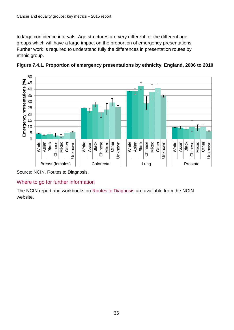to large confidence intervals. Age structures are very different for the different age groups which will have a large impact on the proportion of emergency presentations. Further work is required to understand fully the differences in presentation routes by ethnic group.



<span id="page-35-0"></span>**Figure 7.4.1. Proportion of emergency presentations by ethnicity, England, 2006 to 2010**

Source: NCIN, Routes to Diagnosis.

#### Where to go for further information

The NCIN report and workbooks on [Routes to Diagnosis](http://www.ncin.org.uk/publications/routes_to_diagnosis.aspx) are available from the NCIN website.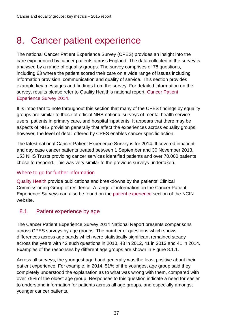# <span id="page-36-0"></span>8. Cancer patient experience

The national Cancer Patient Experience Survey (CPES) provides an insight into the care experienced by cancer patients across England. The data collected in the survey is analysed by a range of equality groups. The survey comprises of 78 questions, including 63 where the patient scored their care on a wide range of issues including information provision, communication and quality of service. This section provides example key messages and findings from the survey. For detailed information on the survey, results please refer to Quality Health's national report, [Cancer Patient](https://www.quality-health.co.uk/resources/surveys/national-cancer-experience-survey/2014-national-cancer-patient-experience-survey/2014-national-cancer-patient-experience-survey-national-reports/688-2013-national-cancer-patient-experience-survey-national-report-pdf/file)  [Experience Survey 2014.](https://www.quality-health.co.uk/resources/surveys/national-cancer-experience-survey/2014-national-cancer-patient-experience-survey/2014-national-cancer-patient-experience-survey-national-reports/688-2013-national-cancer-patient-experience-survey-national-report-pdf/file)

It is important to note throughout this section that many of the CPES findings by equality groups are similar to those of official NHS national surveys of mental health service users, patients in primary care, and hospital inpatients. It appears that there may be aspects of NHS provision generally that affect the experiences across equality groups, however, the level of detail offered by CPES enables cancer specific action.

The latest national Cancer Patient Experience Survey is for 2014. It covered inpatient and day case cancer patients treated between 1 September and 30 November 2013. 153 NHS Trusts providing cancer services identified patients and over 70,000 patients chose to respond. This was very similar to the previous surveys undertaken.

# Where to go for further information

[Quality Health](https://www.quality-health.co.uk/resources/surveys/national-cancer-experience-survey/2014-national-cancer-patient-experience-survey) provide publications and breakdowns by the patients' Clinical Commissioning Group of residence. A range of information on the Cancer Patient Experience Surveys can also be found on the [patient experience](http://www.ncin.org.uk/cancer_information_tools/cancer_patient_experience.aspx) section of the NCIN website.

# <span id="page-36-1"></span>8.1. Patient experience by age

The Cancer Patient Experience Survey 2014 National Report presents comparisons across CPES surveys by age groups. The number of questions which shows differences across age bands which were statistically significant remained steady across the years with 42 such questions in 2010, 43 in 2012, 41 in 2013 and 41 in 2014. Examples of the responses by different age groups are shown in [Figure 8.1.1.](#page-37-1)

Across all surveys, the youngest age band generally was the least positive about their patient experience. For example, in 2014, 51% of the youngest age group said they completely understood the explanation as to what was wrong with them, compared with over 75% of the oldest age group. Responses to this question indicate a need for easier to understand information for patients across all age groups, and especially amongst younger cancer patients.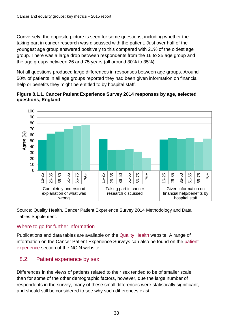Conversely, the opposite picture is seen for some questions, including whether the taking part in cancer research was discussed with the patient. Just over half of the youngest age group answered positively to this compared with 21% of the oldest age group. There was a large drop between respondents from the 16 to 25 age group and the age groups between 26 and 75 years (all around 30% to 35%).

Not all questions produced large differences in responses between age groups. Around 50% of patients in all age groups reported they had been given information on financial help or benefits they might be entitled to by hospital staff.

<span id="page-37-1"></span>



Source: Quality Health, Cancer Patient Experience Survey 2014 Methodology and Data Tables Supplement.

# Where to go for further information

Publications and data tables are available on the [Quality Health](https://www.quality-health.co.uk/resources/surveys/national-cancer-experience-survey/2014-national-cancer-patient-experience-survey) website. A range of information on the Cancer Patient Experience Surveys can also be found on the [patient](http://www.ncin.org.uk/cancer_information_tools/cancer_patient_experience.aspx)  [experience](http://www.ncin.org.uk/cancer_information_tools/cancer_patient_experience.aspx) section of the NCIN website.

# <span id="page-37-0"></span>8.2. Patient experience by sex

Differences in the views of patients related to their sex tended to be of smaller scale than for some of the other demographic factors, however, due the large number of respondents in the survey, many of these small differences were statistically significant, and should still be considered to see why such differences exist.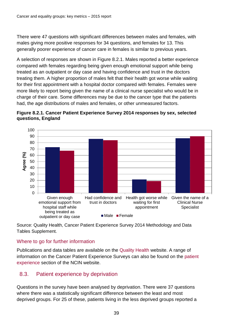There were 47 questions with significant differences between males and females, with males giving more positive responses for 34 questions, and females for 13. This generally poorer experience of cancer care in females is similar to previous years.

A selection of responses are shown in [Figure 8.2.1.](#page-38-1) Males reported a better experience compared with females regarding being given enough emotional support while being treated as an outpatient or day case and having confidence and trust in the doctors treating them. A higher proportion of males felt that their health got worse while waiting for their first appointment with a hospital doctor compared with females. Females were more likely to report being given the name of a clinical nurse specialist who would be in charge of their care. Some differences may be due to the cancer type that the patients had, the age distributions of males and females, or other unmeasured factors.

<span id="page-38-1"></span>



Source: Quality Health, Cancer Patient Experience Survey 2014 Methodology and Data Tables Supplement.

#### Where to go for further information

Publications and data tables are available on the [Quality Health](https://www.quality-health.co.uk/resources/surveys/national-cancer-experience-survey/2014-national-cancer-patient-experience-survey) website. A range of information on the Cancer Patient Experience Surveys can also be found on the [patient](http://www.ncin.org.uk/cancer_information_tools/cancer_patient_experience.aspx)  [experience](http://www.ncin.org.uk/cancer_information_tools/cancer_patient_experience.aspx) section of the NCIN website.

# <span id="page-38-0"></span>8.3. Patient experience by deprivation

Questions in the survey have been analysed by deprivation. There were 37 questions where there was a statistically significant difference between the least and most deprived groups. For 25 of these, patients living in the less deprived groups reported a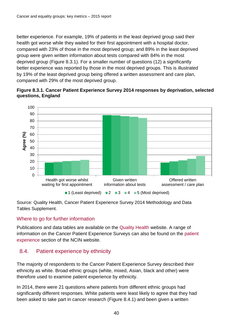better experience. For example, 19% of patients in the least deprived group said their health got worse while they waited for their first appointment with a hospital doctor, compared with 23% of those in the most deprived group; and 89% in the least deprived group were given written information about tests compared with 84% in the most deprived group [\(Figure 8.3.1\)](#page-39-1). For a smaller number of questions (12) a significantly better experience was reported by those in the most deprived groups. This is illustrated by 19% of the least deprived group being offered a written assessment and care plan, compared with 29% of the most deprived group.

<span id="page-39-1"></span>



Source: Quality Health, Cancer Patient Experience Survey 2014 Methodology and Data Tables Supplement.

# Where to go for further information

Publications and data tables are available on the [Quality Health](https://www.quality-health.co.uk/resources/surveys/national-cancer-experience-survey/2014-national-cancer-patient-experience-survey) website. A range of information on the Cancer Patient Experience Surveys can also be found on the [patient](http://www.ncin.org.uk/cancer_information_tools/cancer_patient_experience.aspx)  [experience](http://www.ncin.org.uk/cancer_information_tools/cancer_patient_experience.aspx) section of the NCIN website.

# <span id="page-39-0"></span>8.4. Patient experience by ethnicity

The majority of respondents to the Cancer Patient Experience Survey described their ethnicity as white. Broad ethnic groups (white, mixed, Asian, black and other) were therefore used to examine patient experience by ethnicity.

In 2014, there were 21 questions where patients from different ethnic groups had significantly different responses. White patients were least likely to agree that they had been asked to take part in cancer research [\(Figure 8.4.1\)](#page-40-1) and been given a written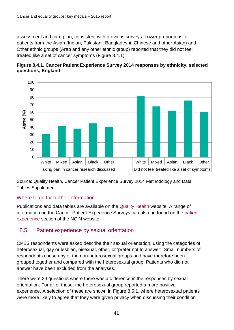assessment and care plan, consistent with previous surveys. Lower proportions of patients from the Asian (Indian, Pakistani, Bangladeshi, Chinese and other Asian) and Other ethnic groups (Arab and any other ethnic group) reported that they did not feel treated like a set of cancer symptoms [\(Figure 8.4.1\)](#page-40-1).

<span id="page-40-1"></span>



Source: Quality Health, Cancer Patient Experience Survey 2014 Methodology and Data Tables Supplement.

# Where to go for further information

Publications and data tables are available on the [Quality Health](https://www.quality-health.co.uk/resources/surveys/national-cancer-experience-survey/2014-national-cancer-patient-experience-survey) website. A range of information on the Cancer Patient Experience Surveys can also be found on the [patient](http://www.ncin.org.uk/cancer_information_tools/cancer_patient_experience.aspx)  [experience](http://www.ncin.org.uk/cancer_information_tools/cancer_patient_experience.aspx) section of the NCIN website.

# <span id="page-40-0"></span>8.5. Patient experience by sexual orientation

CPES respondents were asked describe their sexual orientation, using the categories of heterosexual, gay or lesbian, bisexual, other, or 'prefer not to answer'. Small numbers of respondents chose any of the non-heterosexual groups and have therefore been grouped together and compared with the heterosexual group. Patients who did not answer have been excluded from the analyses.

There were 24 questions where there was a difference in the responses by sexual orientation. For all of these, the heterosexual group reported a more positive experience. A selection of these are shown in [Figure 8.5.1,](#page-41-1) where heterosexual patients were more likely to agree that they were given privacy when discussing their condition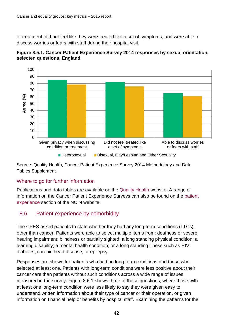or treatment, did not feel like they were treated like a set of symptoms, and were able to discuss worries or fears with staff during their hospital visit.



<span id="page-41-1"></span>

Source: Quality Health, Cancer Patient Experience Survey 2014 Methodology and Data Tables Supplement.

#### Where to go for further information

Publications and data tables are available on the [Quality Health](https://www.quality-health.co.uk/resources/surveys/national-cancer-experience-survey/2014-national-cancer-patient-experience-survey) website. A range of information on the Cancer Patient Experience Surveys can also be found on the [patient](http://www.ncin.org.uk/cancer_information_tools/cancer_patient_experience.aspx)  [experience](http://www.ncin.org.uk/cancer_information_tools/cancer_patient_experience.aspx) section of the NCIN website.

# <span id="page-41-0"></span>8.6. Patient experience by comorbidity

The CPES asked patients to state whether they had any long-term conditions (LTCs), other than cancer. Patients were able to select multiple items from: deafness or severe hearing impairment; blindness or partially sighted; a long standing physical condition; a learning disability; a mental health condition; or a long standing illness such as HIV, diabetes, chronic heart disease, or epilepsy.

Responses are shown for patients who had no long-term conditions and those who selected at least one. Patients with long-term conditions were less positive about their cancer care than patients without such conditions across a wide range of issues measured in the survey. [Figure 8.6.1](#page-42-0) shows three of these questions, where those with at least one long-term condition were less likely to say they were given easy to understand written information about their type of cancer or their operation, or given information on financial help or benefits by hospital staff. Examining the patterns for the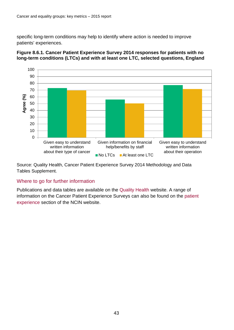specific long-term conditions may help to identify where action is needed to improve patients' experiences.



<span id="page-42-0"></span>**Figure 8.6.1. Cancer Patient Experience Survey 2014 responses for patients with no long-term conditions (LTCs) and with at least one LTC, selected questions, England**

Source: Quality Health, Cancer Patient Experience Survey 2014 Methodology and Data Tables Supplement.

#### Where to go for further information

Publications and data tables are available on the [Quality Health](https://www.quality-health.co.uk/resources/surveys/national-cancer-experience-survey/2014-national-cancer-patient-experience-survey) website. A range of information on the Cancer Patient Experience Surveys can also be found on the [patient](http://www.ncin.org.uk/cancer_information_tools/cancer_patient_experience.aspx)  [experience](http://www.ncin.org.uk/cancer_information_tools/cancer_patient_experience.aspx) section of the NCIN website.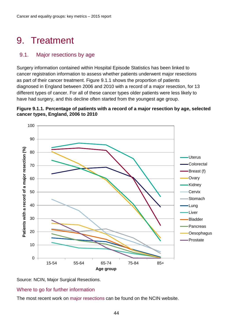# <span id="page-43-0"></span>9. Treatment

# <span id="page-43-1"></span>9.1. Major resections by age

Surgery information contained within Hospital Episode Statistics has been linked to cancer registration information to assess whether patients underwent major resections as part of their cancer treatment. [Figure 9.1.1](#page-43-2) shows the proportion of patients diagnosed in England between 2006 and 2010 with a record of a major resection, for 13 different types of cancer. For all of these cancer types older patients were less likely to have had surgery, and this decline often started from the youngest age group.

<span id="page-43-2"></span>





#### Where to go for further information

The most recent work on [major resections](http://www.ncin.org.uk/about_ncin/major_resections) can be found on the NCIN website.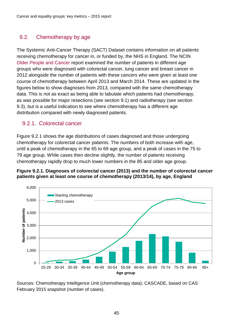# <span id="page-44-0"></span>9.2. Chemotherapy by age

The Systemic Anti-Cancer Therapy (SACT) Dataset contains information on all patients receiving chemotherapy for cancer in, or funded by, the NHS in England. The NCIN [Older People and Cancer](http://www.ncin.org.uk/publications/older_people_and_cancer) report examined the number of patients in different age groups who were diagnosed with colorectal cancer, lung cancer and breast cancer in 2012 alongside the number of patients with these cancers who were given at least one course of chemotherapy between April 2013 and March 2014. These are updated in the figures below to show diagnoses from 2013, compared with the same chemotherapy data. This is not as exact as being able to tabulate which patients had chemotherapy, as was possible for major resections (see section [9.1\)](#page-43-1) and radiotherapy (see section [9.3\)](#page-46-0), but is a useful indication to see where chemotherapy has a different age distribution compared with newly diagnosed patients.

# 9.2.1. Colorectal cancer

[Figure 9.2.1](#page-44-1) shows the age distributions of cases diagnosed and those undergoing chemotherapy for colorectal cancer patients. The numbers of both increase with age, until a peak of chemotherapy in the 65 to 69 age group, and a peak of cases in the 75 to 79 age group. While cases then decline slightly, the number of patients receiving chemotherapy rapidly drop to much lower numbers in the 85 and older age group.

#### <span id="page-44-1"></span>**Figure 9.2.1. Diagnoses of colorectal cancer (2013) and the number of colorectal cancer patients given at least one course of chemotherapy (2013/14), by age, England**



Sources: Chemotherapy Intelligence Unit (chemotherapy data); CASCADE, based on CAS February 2015 snapshot (number of cases).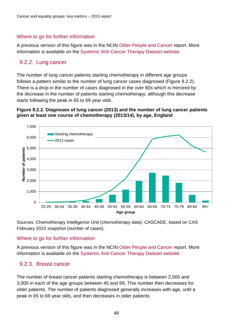#### Where to go for further information

A previous version of this figure was in the NCIN [Older People and Cancer](http://www.ncin.org.uk/publications/older_people_and_cancer) report. More information is available on the [Systemic Anti-Cancer Therapy Dataset website.](http://www.chemodataset.nhs.uk/home)

# 9.2.2. Lung cancer

The number of lung cancer patients starting chemotherapy in different age groups follows a pattern similar to the number of lung cancer cases diagnosed [\(Figure 9.2.2\)](#page-45-0). There is a drop in the number of cases diagnosed in the over 80s which is mirrored by the decrease in the number of patients starting chemotherapy, although this decrease starts following the peak in 65 to 69 year olds.

#### <span id="page-45-0"></span>**Figure 9.2.2. Diagnoses of lung cancer (2013) and the number of lung cancer patients given at least one course of chemotherapy (2013/14), by age, England**



Sources: Chemotherapy Intelligence Unit (chemotherapy data); CASCADE, based on CAS February 2015 snapshot (number of cases).

#### Where to go for further information

A previous version of this figure was in the NCIN [Older People and Cancer](http://www.ncin.org.uk/publications/older_people_and_cancer) report. More information is available on the [Systemic Anti-Cancer Therapy Dataset website.](http://www.chemodataset.nhs.uk/home)

#### 9.2.3. Breast cancer

The number of breast cancer patients starting chemotherapy is between 2,000 and 3,000 in each of the age groups between 45 and 69. This number then decreases for older patients. The number of patients diagnosed generally increases with age, until a peak in 65 to 69 year olds, and then decreases in older patients.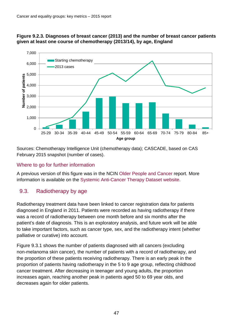



Sources: Chemotherapy Intelligence Unit (chemotherapy data); CASCADE, based on CAS February 2015 snapshot (number of cases).

#### Where to go for further information

A previous version of this figure was in the NCIN [Older People and Cancer](http://www.ncin.org.uk/publications/older_people_and_cancer) report. More information is available on the [Systemic Anti-Cancer Therapy Dataset website.](http://www.chemodataset.nhs.uk/home)

# <span id="page-46-0"></span>9.3. Radiotherapy by age

Radiotherapy treatment data have been linked to cancer registration data for patients diagnosed in England in 2011. Patients were recorded as having radiotherapy if there was a record of radiotherapy between one month before and six months after the patient's date of diagnosis. This is an exploratory analysis, and future work will be able to take important factors, such as cancer type, sex, and the radiotherapy intent (whether palliative or curative) into account.

[Figure 9.3.1](#page-47-0) shows the number of patients diagnosed with all cancers (excluding non-melanoma skin cancer), the number of patients with a record of radiotherapy, and the proportion of these patients receiving radiotherapy. There is an early peak in the proportion of patients having radiotherapy in the 5 to 9 age group, reflecting childhood cancer treatment. After decreasing in teenager and young adults, the proportion increases again, reaching another peak in patients aged 50 to 69 year olds, and decreases again for older patients.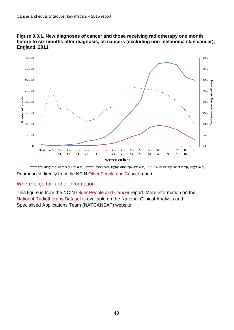![](_page_47_Figure_1.jpeg)

<span id="page-47-0"></span>![](_page_47_Figure_2.jpeg)

Reproduced directly from the NCIN [Older People and Cancer](http://www.ncin.org.uk/publications/older_people_and_cancer) report

#### Where to go for further information

This figure is from the NCIN [Older People and Cancer](http://www.ncin.org.uk/publications/older_people_and_cancer) report. More information on the [National Radiotherapy Dataset](http://www.natcansat.nhs.uk/rt/rtds.aspx) is available on the National Clinical Analysis and Specialised Applications Team (NATCANSAT) website.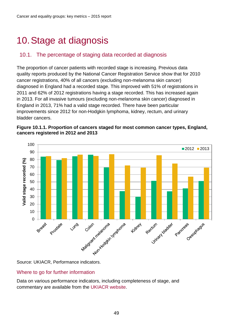# <span id="page-48-0"></span>10.Stage at diagnosis

# <span id="page-48-1"></span>10.1. The percentage of staging data recorded at diagnosis

The proportion of cancer patients with recorded stage is increasing. Previous data quality reports produced by the National Cancer Registration Service show that for 2010 cancer registrations, 40% of all cancers (excluding non-melanoma skin cancer) diagnosed in England had a recorded stage. This improved with 51% of registrations in 2011 and 62% of 2012 registrations having a stage recorded. This has increased again in 2013. For all invasive tumours (excluding non-melanoma skin cancer) diagnosed in England in 2013, 71% had a valid stage recorded. There have been particular improvements since 2012 for non-Hodgkin lymphoma, kidney, rectum, and urinary bladder cancers.

![](_page_48_Figure_4.jpeg)

![](_page_48_Figure_5.jpeg)

#### Where to go for further information

Data on various performance indicators, including completeness of stage, and commentary are available from the [UKIACR website.](http://www.ukiacr.org/kpis)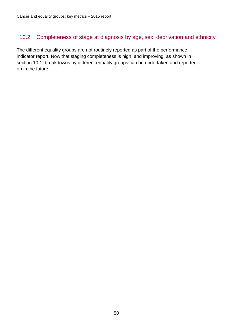# <span id="page-49-0"></span>10.2. Completeness of stage at diagnosis by age, sex, deprivation and ethnicity

The different equality groups are not routinely reported as part of the performance indicator report. Now that staging completeness is high, and improving, as shown in section [10.1,](#page-48-1) breakdowns by different equality groups can be undertaken and reported on in the future.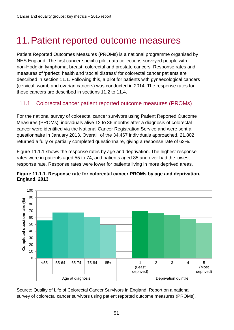# <span id="page-50-0"></span>11.Patient reported outcome measures

Patient Reported Outcomes Measures (PROMs) is a national programme organised by NHS England. The first cancer-specific pilot data collections surveyed people with non-Hodgkin lymphoma, breast, colorectal and prostate cancers. Response rates and measures of 'perfect' health and 'social distress' for colorectal cancer patients are described in section [11.1.](#page-50-1) Following this, a pilot for patients with gynaecological cancers (cervical, womb and ovarian cancers) was conducted in 2014. The response rates for these cancers are described in sections [11.2](#page-54-0) to [11.4.](#page-56-0)

# <span id="page-50-1"></span>11.1. Colorectal cancer patient reported outcome measures (PROMs)

For the national survey of colorectal cancer survivors using Patient Reported Outcome Measures (PROMs), individuals alive 12 to 36 months after a diagnosis of colorectal cancer were identified via the National Cancer Registration Service and were sent a questionnaire in January 2013. Overall, of the 34,467 individuals approached, 21,802 returned a fully or partially completed questionnaire, giving a response rate of 63%.

[Figure 11.1.1](#page-50-2) shows the response rates by age and deprivation. The highest response rates were in patients aged 55 to 74, and patients aged 85 and over had the lowest response rate. Response rates were lower for patients living in more deprived areas.

![](_page_50_Figure_6.jpeg)

<span id="page-50-2"></span>![](_page_50_Figure_7.jpeg)

Source: Quality of Life of Colorectal Cancer Survivors in England, Report on a national survey of colorectal cancer survivors using patient reported outcome measures (PROMs).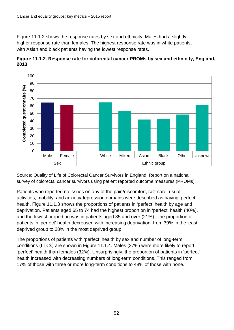[Figure 11.1.2](#page-51-0) shows the response rates by sex and ethnicity. Males had a slightly higher response rate than females. The highest response rate was in white patients, with Asian and black patients having the lowest response rates.

<span id="page-51-0"></span>![](_page_51_Figure_2.jpeg)

![](_page_51_Figure_3.jpeg)

Source: Quality of Life of Colorectal Cancer Survivors in England, Report on a national survey of colorectal cancer survivors using patient reported outcome measures (PROMs).

Patients who reported no issues on any of the pain/discomfort, self-care, usual activities, mobility, and anxiety/depression domains were described as having 'perfect' health. [Figure 11.1.3](#page-52-0) shows the proportions of patients in 'perfect' health by age and deprivation. Patients aged 65 to 74 had the highest proportion in 'perfect' health (40%), and the lowest proportion was in patients aged 85 and over (21%). The proportion of patients in 'perfect' health decreased with increasing deprivation, from 39% in the least deprived group to 28% in the most deprived group.

The proportions of patients with 'perfect' health by sex and number of long-term conditions (LTCs) are shown in [Figure 11.1.4.](#page-52-1) Males (37%) were more likely to report 'perfect' health than females (32%). Unsurprisingly, the proportion of patients in 'perfect' health increased with decreasing numbers of long-term conditions. This ranged from 17% of those with three or more long-term conditions to 48% of those with none.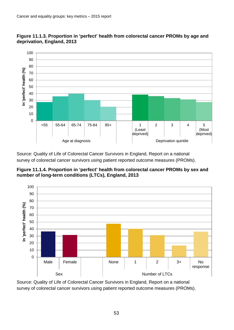![](_page_52_Figure_1.jpeg)

<span id="page-52-0"></span>![](_page_52_Figure_2.jpeg)

Source: Quality of Life of Colorectal Cancer Survivors in England, Report on a national survey of colorectal cancer survivors using patient reported outcome measures (PROMs).

<span id="page-52-1"></span>![](_page_52_Figure_4.jpeg)

![](_page_52_Figure_5.jpeg)

Source: Quality of Life of Colorectal Cancer Survivors in England, Report on a national survey of colorectal cancer survivors using patient reported outcome measures (PROMs).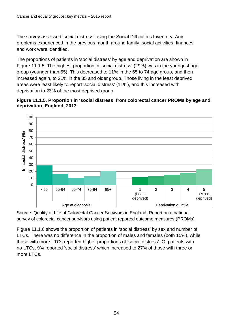The survey assessed 'social distress' using the Social Difficulties Inventory. Any problems experienced in the previous month around family, social activities, finances and work were identified.

The proportions of patients in 'social distress' by age and deprivation are shown in [Figure 11.1.5.](#page-53-0) The highest proportion in 'social distress' (29%) was in the youngest age group (younger than 55). This decreased to 11% in the 65 to 74 age group, and then increased again, to 21% in the 85 and older group. Those living in the least deprived areas were least likely to report 'social distress' (11%), and this increased with deprivation to 23% of the most deprived group.

<span id="page-53-0"></span>![](_page_53_Figure_3.jpeg)

![](_page_53_Figure_4.jpeg)

Source: Quality of Life of Colorectal Cancer Survivors in England, Report on a national survey of colorectal cancer survivors using patient reported outcome measures (PROMs).

[Figure 11.1.6](#page-54-1) shows the proportion of patients in 'social distress' by sex and number of LTCs. There was no difference in the proportion of males and females (both 15%), while those with more LTCs reported higher proportions of 'social distress'. Of patients with no LTCs, 9% reported 'social distress' which increased to 27% of those with three or more LTCs.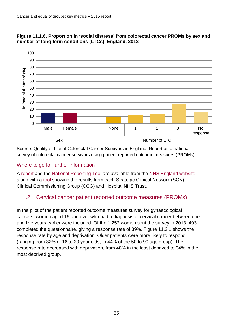![](_page_54_Figure_1.jpeg)

#### <span id="page-54-1"></span>**Figure 11.1.6. Proportion in 'social distress' from colorectal cancer PROMs by sex and number of long-term conditions (LTCs), England, 2013**

Source: Quality of Life of Colorectal Cancer Survivors in England, Report on a national survey of colorectal cancer survivors using patient reported outcome measures (PROMs).

# Where to go for further information

A [report](http://www.england.nhs.uk/wp-content/uploads/2015/03/colorectal-cancer-proms-report-140314.pdf) and the [National Reporting Tool](http://www.england.nhs.uk/wp-content/uploads/2015/03/national-level-tool-080114.xlsx) are available from the [NHS England website,](https://www.england.nhs.uk/resources/cancer-resources/) along with a [tool](http://www.england.nhs.uk/wp-content/uploads/2015/03/reporting-tool-trust-ccg-scn-level-data-toolkit.xlsx) showing the results from each Strategic Clinical Network (SCN), Clinical Commissioning Group (CCG) and Hospital NHS Trust.

# <span id="page-54-0"></span>11.2. Cervical cancer patient reported outcome measures (PROMs)

In the pilot of the patient reported outcome measures survey for gynaecological cancers, women aged 16 and over who had a diagnosis of cervical cancer between one and five years earlier were included. Of the 1,252 women sent the survey in 2013, 493 completed the questionnaire, giving a response rate of 39%. [Figure 11.2.1](#page-55-1) shows the response rate by age and deprivation. Older patients were more likely to respond (ranging from 32% of 16 to 29 year olds, to 44% of the 50 to 99 age group). The response rate decreased with deprivation, from 48% in the least deprived to 34% in the most deprived group.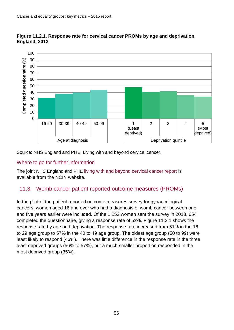![](_page_55_Figure_1.jpeg)

<span id="page-55-1"></span>![](_page_55_Figure_2.jpeg)

Source: NHS England and PHE, Living with and beyond cervical cancer.

#### Where to go for further information

The joint NHS England and PHE [living with and beyond cervical cancer report](http://www.ncin.org.uk/view?rid=2922) is available from the NCIN website.

# <span id="page-55-0"></span>11.3. Womb cancer patient reported outcome measures (PROMs)

In the pilot of the patient reported outcome measures survey for gynaecological cancers, women aged 16 and over who had a diagnosis of womb cancer between one and five years earlier were included. Of the 1,252 women sent the survey in 2013, 654 completed the questionnaire, giving a response rate of 52%. [Figure 11.3.1](#page-56-1) shows the response rate by age and deprivation. The response rate increased from 51% in the 16 to 29 age group to 57% in the 40 to 49 age group. The oldest age group (50 to 99) were least likely to respond (46%). There was little difference in the response rate in the three least deprived groups (56% to 57%), but a much smaller proportion responded in the most deprived group (35%).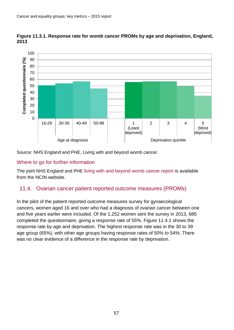![](_page_56_Figure_1.jpeg)

<span id="page-56-1"></span>**Figure 11.3.1. Response rate for womb cancer PROMs by age and deprivation, England, 2013**

Source: NHS England and PHE, Living with and beyond womb cancer.

#### Where to go for further information

The joint NHS England and PHE [living with and beyond womb cancer report](http://www.ncin.org.uk/view?rid=2921) is available from the NCIN website.

# <span id="page-56-0"></span>11.4. Ovarian cancer patient reported outcome measures (PROMs)

In the pilot of the patient reported outcome measures survey for gynaecological cancers, women aged 16 and over who had a diagnosis of ovarian cancer between one and five years earlier were included. Of the 1,252 women sent the survey in 2013, 685 completed the questionnaire, giving a response rate of 55%. [Figure 11.4.1](#page-57-0) shows the response rate by age and deprivation. The highest response rate was in the 30 to 39 age group (65%), with other age groups having response rates of 50% to 54%. There was no clear evidence of a difference in the response rate by deprivation.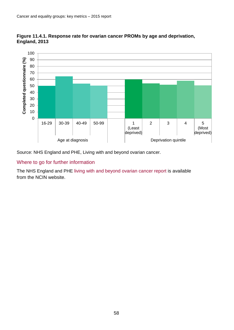![](_page_57_Figure_1.jpeg)

<span id="page-57-0"></span>![](_page_57_Figure_2.jpeg)

Source: NHS England and PHE, Living with and beyond ovarian cancer.

#### Where to go for further information

The NHS England and PHE [living with and beyond ovarian cancer report](http://www.ncin.org.uk/view?rid=2920) is available from the NCIN website.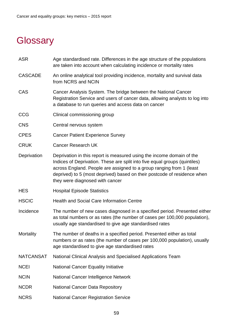# <span id="page-58-0"></span>**Glossary**

- ASR Age standardised rate. Differences in the age structure of the populations are taken into account when calculating incidence or mortality rates
- CASCADE An online analytical tool providing incidence, mortality and survival data from NCRS and NCIN
- CAS Cancer Analysis System. The bridge between the National Cancer Registration Service and users of cancer data, allowing analysts to log into a database to run queries and access data on cancer
- CCG Clinical commissioning group
- CNS Central nervous system
- CPES Cancer Patient Experience Survey
- CRUK Cancer Research UK
- Deprivation Deprivation in this report is measured using the income domain of the Indices of Deprivation. These are split into five equal groups (quintiles) across England. People are assigned to a group ranging from 1 (least deprived) to 5 (most deprived) based on their postcode of residence when they were diagnosed with cancer
- HES Hospital Episode Statistics
- HSCIC Health and Social Care Information Centre
- Incidence The number of new cases diagnosed in a specified period. Presented either as total numbers or as rates (the number of cases per 100,000 population), usually age standardised to give age standardised rates
- Mortality The number of deaths in a specified period. Presented either as total numbers or as rates (the number of cases per 100,000 population), usually age standardised to give age standardised rates
- NATCANSAT National Clinical Analysis and Specialised Applications Team
- NCEI National Cancer Equality Initiative
- NCIN National Cancer Intelligence Network
- NCDR National Cancer Data Repository
- NCRS National Cancer Registration Service